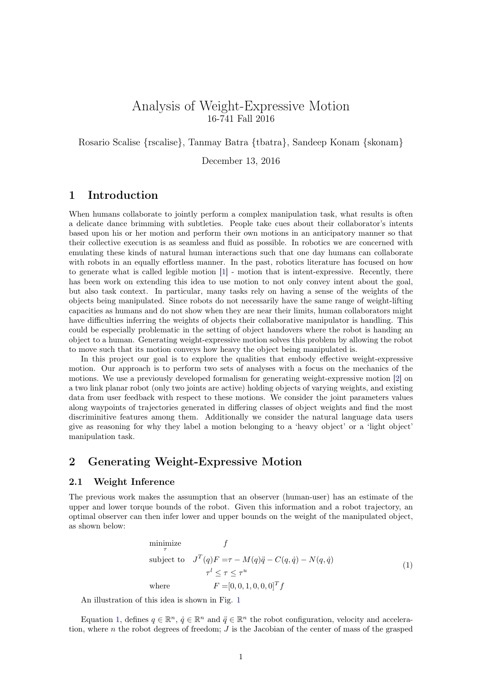# Analysis of Weight-Expressive Motion 16-741 Fall 2016

Rosario Scalise {rscalise}, Tanmay Batra {tbatra}, Sandeep Konam {skonam}

December 13, 2016

# 1 Introduction

When humans collaborate to jointly perform a complex manipulation task, what results is often a delicate dance brimming with subtleties. People take cues about their collaborator's intents based upon his or her motion and perform their own motions in an anticipatory manner so that their collective execution is as seamless and fluid as possible. In robotics we are concerned with emulating these kinds of natural human interactions such that one day humans can collaborate with robots in an equally effortless manner. In the past, robotics literature has focused on how to generate what is called legible motion [\[1\]](#page-6-0) - motion that is intent-expressive. Recently, there has been work on extending this idea to use motion to not only convey intent about the goal, but also task context. In particular, many tasks rely on having a sense of the weights of the objects being manipulated. Since robots do not necessarily have the same range of weight-lifting capacities as humans and do not show when they are near their limits, human collaborators might have difficulties inferring the weights of objects their collaborative manipulator is handling. This could be especially problematic in the setting of object handovers where the robot is handing an object to a human. Generating weight-expressive motion solves this problem by allowing the robot to move such that its motion conveys how heavy the object being manipulated is.

In this project our goal is to explore the qualities that embody effective weight-expressive motion. Our approach is to perform two sets of analyses with a focus on the mechanics of the motions. We use a previously developed formalism for generating weight-expressive motion [\[2\]](#page-6-1) on a two link planar robot (only two joints are active) holding objects of varying weights, and existing data from user feedback with respect to these motions. We consider the joint parameters values along waypoints of trajectories generated in differing classes of object weights and find the most discriminitive features among them. Additionally we consider the natural language data users give as reasoning for why they label a motion belonging to a 'heavy object' or a 'light object' manipulation task.

## 2 Generating Weight-Expressive Motion

### <span id="page-0-1"></span>2.1 Weight Inference

The previous work makes the assumption that an observer (human-user) has an estimate of the upper and lower torque bounds of the robot. Given this information and a robot trajectory, an optimal observer can then infer lower and upper bounds on the weight of the manipulated object, as shown below:

<span id="page-0-0"></span>minimize  
\n
$$
\tau
$$
\nsubject to  
\n
$$
J^T(q)F = \tau - M(q)\ddot{q} - C(q, \dot{q}) - N(q, \dot{q})
$$
\n
$$
\tau^l \leq \tau \leq \tau^u
$$
\nwhere  
\n
$$
F = [0, 0, 1, 0, 0, 0]^T f
$$
\n(1)

An illustration of this idea is shown in Fig. [1](#page-1-0)

Equation [1,](#page-0-0) defines  $q \in \mathbb{R}^n$ ,  $\dot{q} \in \mathbb{R}^n$  and  $\ddot{q} \in \mathbb{R}^n$  the robot configuration, velocity and acceleration, where n the robot degrees of freedom;  $J$  is the Jacobian of the center of mass of the grasped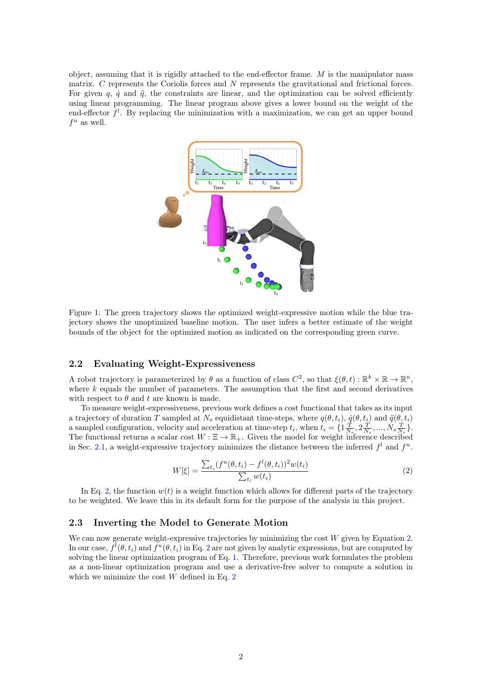object, assuming that it is rigidly attached to the end-effector frame.  $M$  is the manipulator mass matrix. C represents the Coriolis forces and N represents the gravitational and frictional forces. For given q,  $\dot{q}$  and  $\ddot{q}$ , the constraints are linear, and the optimization can be solved efficiently using linear programming. The linear program above gives a lower bound on the weight of the end-effector  $f^l$ . By replacing the minimization with a maximization, we can get an upper bound  $f^u$  as well.



<span id="page-1-0"></span>Figure 1: The green trajectory shows the optimized weight-expressive motion while the blue trajectory shows the unoptimized baseline motion. The user infers a better estimate of the weight bounds of the object for the optimized motion as indicated on the corresponding green curve.

### 2.2 Evaluating Weight-Expressiveness

A robot trajectory is parameterized by  $\theta$  as a function of class  $C^2$ , so that  $\xi(\theta, t) : \mathbb{R}^k \times \mathbb{R} \to \mathbb{R}^n$ , where  $k$  equals the number of parameters. The assumption that the first and second derivatives with respect to  $\theta$  and t are known is made.

To measure weight-expressiveness, previous work defines a cost functional that takes as its input a trajectory of duration T sampled at  $N_s$  equidistant time-steps, where  $q(\theta, t_i)$ ,  $\dot{q}(\theta, t_i)$  and  $\ddot{q}(\theta, t_i)$ a sampled configuration, velocity and acceleration at time-step  $t_i$ , when  $t_i = \{1\frac{T}{N_s}, 2\frac{T}{N_s}, ..., N_s\frac{T}{N_s}\}.$ The functional returns a scalar cost  $W : \Xi \to \mathbb{R}_+$ . Given the model for weight inference described in Sec. [2.1,](#page-0-1) a weight-expressive trajectory minimizes the distance between the inferred  $f<sup>l</sup>$  and  $f<sup>u</sup>$ .

<span id="page-1-1"></span>
$$
W[\xi] = \frac{\sum_{t_i} (f^u(\theta, t_i) - f^l(\theta, t_i))^2 w(t_i)}{\sum_{t_i} w(t_i)}
$$
(2)

In Eq. [2,](#page-1-1) the function  $w(t)$  is a weight function which allows for different parts of the trajectory to be weighted. We leave this in its default form for the purpose of the analysis in this project.

#### 2.3 Inverting the Model to Generate Motion

We can now generate weight-expressive trajectories by minimizing the cost  $W$  given by Equation [2.](#page-1-1) In our case,  $f^l(\theta, t_i)$  and  $f^u(\theta, t_i)$  in Eq. [2](#page-1-1) are not given by analytic expressions, but are computed by solving the linear optimization program of Eq. [1.](#page-0-0) Therefore, previous work formulates the problem as a non-linear optimization program and use a derivative-free solver to compute a solution in which we minimize the cost  $W$  defined in Eq. [2](#page-1-1)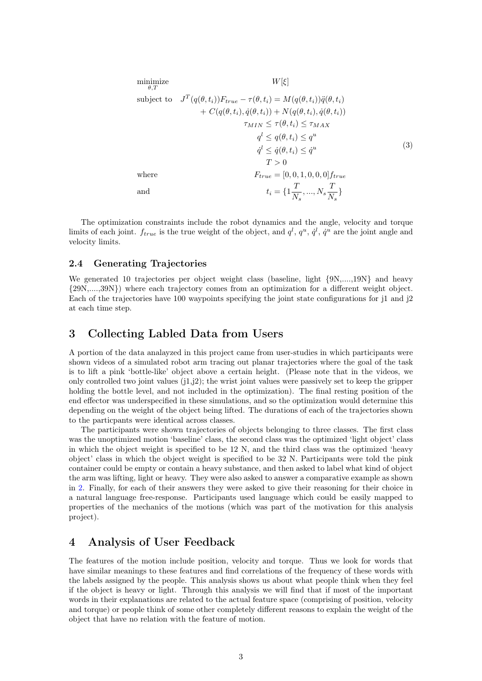minimize  
\n
$$
W[\xi]
$$
\nsubject to  
\n
$$
J^T(q(\theta, t_i))F_{true} - \tau(\theta, t_i) = M(q(\theta, t_i))\ddot{q}(\theta, t_i)
$$
\n
$$
+ C(q(\theta, t_i), \dot{q}(\theta, t_i)) + N(q(\theta, t_i), \dot{q}(\theta, t_i))
$$
\n
$$
\tau_{MIN} \leq \tau(\theta, t_i) \leq \tau_{MAX}
$$
\n
$$
q^l \leq q(\theta, t_i) \leq q^u
$$
\n
$$
\dot{q}^l \leq \dot{q}(\theta, t_i) \leq \dot{q}^u
$$
\n
$$
T > 0
$$
\nwhere  
\n
$$
F_{true} = [0, 0, 1, 0, 0, 0]f_{true}
$$
\nand  
\n
$$
t_i = \{1\frac{T}{N_s}, ..., N_s\frac{T}{N_s}\}
$$
\n(3)

The optimization constraints include the robot dynamics and the angle, velocity and torque limits of each joint.  $f_{true}$  is the true weight of the object, and  $q^l, q^u, \dot{q}^l, \dot{q}^u$  are the joint angle and velocity limits.

### 2.4 Generating Trajectories

We generated 10 trajectories per object weight class (baseline, light  $\{9N, \ldots, 19N\}$  and heavy {29N,....,39N}) where each trajectory comes from an optimization for a different weight object. Each of the trajectories have 100 waypoints specifying the joint state configurations for j1 and j2 at each time step.

# 3 Collecting Labled Data from Users

A portion of the data analayzed in this project came from user-studies in which participants were shown videos of a simulated robot arm tracing out planar trajectories where the goal of the task is to lift a pink 'bottle-like' object above a certain height. (Please note that in the videos, we only controlled two joint values  $(j1,j2)$ ; the wrist joint values were passively set to keep the gripper holding the bottle level, and not included in the optimization). The final resting position of the end effector was underspecified in these simulations, and so the optimization would determine this depending on the weight of the object being lifted. The durations of each of the trajectories shown to the particpants were identical across classes.

The participants were shown trajectories of objects belonging to three classes. The first class was the unoptimized motion 'baseline' class, the second class was the optimized 'light object' class in which the object weight is specified to be 12 N, and the third class was the optimized 'heavy object' class in which the object weight is specified to be 32 N. Participants were told the pink container could be empty or contain a heavy substance, and then asked to label what kind of object the arm was lifting, light or heavy. They were also asked to answer a comparative example as shown in [2.](#page-3-0) Finally, for each of their answers they were asked to give their reasoning for their choice in a natural language free-response. Participants used language which could be easily mapped to properties of the mechanics of the motions (which was part of the motivation for this analysis project).

### 4 Analysis of User Feedback

The features of the motion include position, velocity and torque. Thus we look for words that have similar meanings to these features and find correlations of the frequency of these words with the labels assigned by the people. This analysis shows us about what people think when they feel if the object is heavy or light. Through this analysis we will find that if most of the important words in their explanations are related to the actual feature space (comprising of position, velocity and torque) or people think of some other completely different reasons to explain the weight of the object that have no relation with the feature of motion.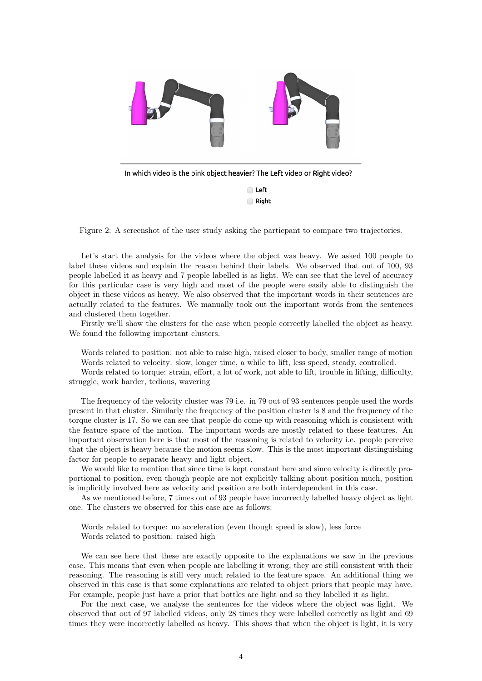

<span id="page-3-0"></span>Figure 2: A screenshot of the user study asking the particpant to compare two trajectories.

Let's start the analysis for the videos where the object was heavy. We asked 100 people to label these videos and explain the reason behind their labels. We observed that out of 100, 93 people labelled it as heavy and 7 people labelled is as light. We can see that the level of accuracy for this particular case is very high and most of the people were easily able to distinguish the object in these videos as heavy. We also observed that the important words in their sentences are actually related to the features. We manually took out the important words from the sentences and clustered them together.

Firstly we'll show the clusters for the case when people correctly labelled the object as heavy. We found the following important clusters.

Words related to position: not able to raise high, raised closer to body, smaller range of motion Words related to velocity: slow, longer time, a while to lift, less speed, steady, controlled.

Words related to torque: strain, effort, a lot of work, not able to lift, trouble in lifting, difficulty, struggle, work harder, tedious, wavering

The frequency of the velocity cluster was 79 i.e. in 79 out of 93 sentences people used the words present in that cluster. Similarly the frequency of the position cluster is 8 and the frequency of the torque cluster is 17. So we can see that people do come up with reasoning which is consistent with the feature space of the motion. The important words are mostly related to these features. An important observation here is that most of the reasoning is related to velocity i.e. people perceive that the object is heavy because the motion seems slow. This is the most important distinguishing factor for people to separate heavy and light object.

We would like to mention that since time is kept constant here and since velocity is directly proportional to position, even though people are not explicitly talking about position much, position is implicitly involved here as velocity and position are both interdependent in this case.

As we mentioned before, 7 times out of 93 people have incorrectly labelled heavy object as light one. The clusters we observed for this case are as follows:

Words related to torque: no acceleration (even though speed is slow), less force Words related to position: raised high

We can see here that these are exactly opposite to the explanations we saw in the previous case. This means that even when people are labelling it wrong, they are still consistent with their reasoning. The reasoning is still very much related to the feature space. An additional thing we observed in this case is that some explanations are related to object priors that people may have. For example, people just have a prior that bottles are light and so they labelled it as light.

For the next case, we analyse the sentences for the videos where the object was light. We observed that out of 97 labelled videos, only 28 times they were labelled correctly as light and 69 times they were incorrectly labelled as heavy. This shows that when the object is light, it is very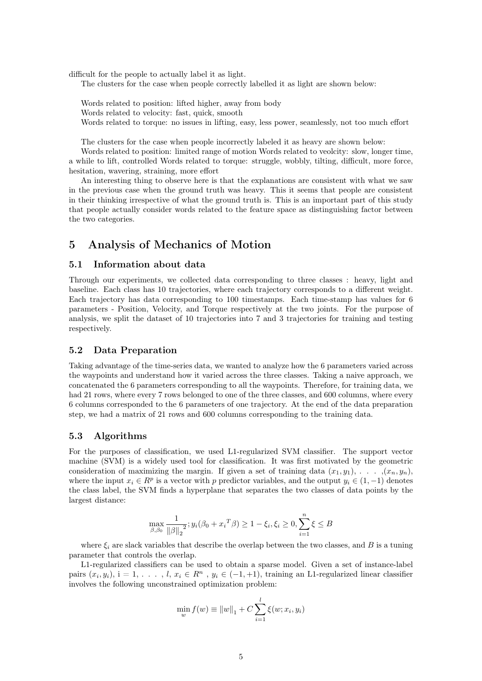difficult for the people to actually label it as light.

The clusters for the case when people correctly labelled it as light are shown below:

Words related to position: lifted higher, away from body Words related to velocity: fast, quick, smooth Words related to torque: no issues in lifting, easy, less power, seamlessly, not too much effort

The clusters for the case when people incorrectly labeled it as heavy are shown below:

Words related to position: limited range of motion Words related to veolcity: slow, longer time, a while to lift, controlled Words related to torque: struggle, wobbly, tilting, difficult, more force, hesitation, wavering, straining, more effort

An interesting thing to observe here is that the explanations are consistent with what we saw in the previous case when the ground truth was heavy. This it seems that people are consistent in their thinking irrespective of what the ground truth is. This is an important part of this study that people actually consider words related to the feature space as distinguishing factor between the two categories.

# 5 Analysis of Mechanics of Motion

#### 5.1 Information about data

Through our experiments, we collected data corresponding to three classes : heavy, light and baseline. Each class has 10 trajectories, where each trajectory corresponds to a different weight. Each trajectory has data corresponding to 100 timestamps. Each time-stamp has values for 6 parameters - Position, Velocity, and Torque respectively at the two joints. For the purpose of analysis, we split the dataset of 10 trajectories into 7 and 3 trajectories for training and testing respectively.

### 5.2 Data Preparation

Taking advantage of the time-series data, we wanted to analyze how the 6 parameters varied across the waypoints and understand how it varied across the three classes. Taking a naive approach, we concatenated the 6 parameters corresponding to all the waypoints. Therefore, for training data, we had 21 rows, where every 7 rows belonged to one of the three classes, and 600 columns, where every 6 columns corresponded to the 6 parameters of one trajectory. At the end of the data preparation step, we had a matrix of 21 rows and 600 columns corresponding to the training data.

### 5.3 Algorithms

For the purposes of classification, we used L1-regularized SVM classifier. The support vector machine (SVM) is a widely used tool for classification. It was first motivated by the geometric consideration of maximizing the margin. If given a set of training data  $(x_1, y_1), \ldots, (x_n, y_n)$ , where the input  $x_i \in R^p$  is a vector with p predictor variables, and the output  $y_i \in (1, -1)$  denotes the class label, the SVM finds a hyperplane that separates the two classes of data points by the largest distance:

$$
\max_{\beta, \beta_0} \frac{1}{\|\beta\|_2^2}; y_i(\beta_0 + x_i^T \beta) \ge 1 - \xi_i, \xi_i \ge 0, \sum_{i=1}^n \xi \le B
$$

where  $\xi_i$  are slack variables that describe the overlap between the two classes, and B is a tuning parameter that controls the overlap.

L1-regularized classifiers can be used to obtain a sparse model. Given a set of instance-label pairs  $(x_i, y_i)$ , i = 1, . . . , l,  $x_i \in R^n$ ,  $y_i \in (-1, +1)$ , training an L1-regularized linear classifier involves the following unconstrained optimization problem:

$$
\min_{w} f(w) \equiv ||w||_1 + C \sum_{i=1}^{l} \xi(w; x_i, y_i)
$$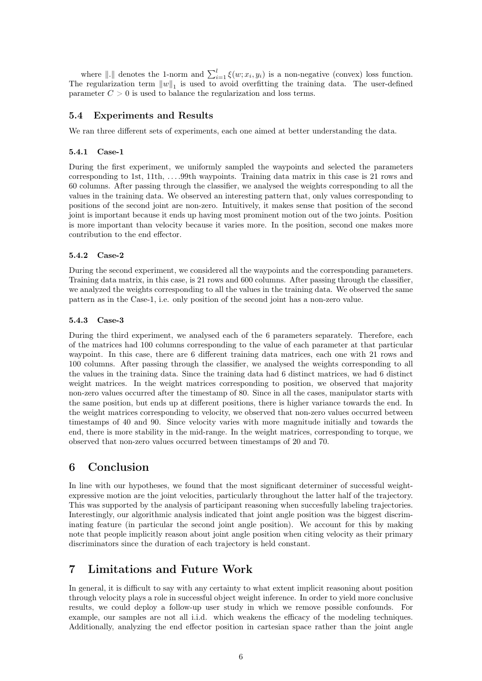where  $\|.\|$  denotes the 1-norm and  $\sum_{i=1}^{l} \xi(w; x_i, y_i)$  is a non-negative (convex) loss function. The regularization term  $||w||_1$  is used to avoid overfitting the training data. The user-defined parameter  $C > 0$  is used to balance the regularization and loss terms.

### 5.4 Experiments and Results

We ran three different sets of experiments, each one aimed at better understanding the data.

#### 5.4.1 Case-1

During the first experiment, we uniformly sampled the waypoints and selected the parameters corresponding to 1st, 11th, . . . .99th waypoints. Training data matrix in this case is 21 rows and 60 columns. After passing through the classifier, we analysed the weights corresponding to all the values in the training data. We observed an interesting pattern that, only values corresponding to positions of the second joint are non-zero. Intuitively, it makes sense that position of the second joint is important because it ends up having most prominent motion out of the two joints. Position is more important than velocity because it varies more. In the position, second one makes more contribution to the end effector.

#### 5.4.2 Case-2

During the second experiment, we considered all the waypoints and the corresponding parameters. Training data matrix, in this case, is 21 rows and 600 columns. After passing through the classifier, we analyzed the weights corresponding to all the values in the training data. We observed the same pattern as in the Case-1, i.e. only position of the second joint has a non-zero value.

#### 5.4.3 Case-3

During the third experiment, we analysed each of the 6 parameters separately. Therefore, each of the matrices had 100 columns corresponding to the value of each parameter at that particular waypoint. In this case, there are 6 different training data matrices, each one with 21 rows and 100 columns. After passing through the classifier, we analysed the weights corresponding to all the values in the training data. Since the training data had 6 distinct matrices, we had 6 distinct weight matrices. In the weight matrices corresponding to position, we observed that majority non-zero values occurred after the timestamp of 80. Since in all the cases, manipulator starts with the same position, but ends up at different positions, there is higher variance towards the end. In the weight matrices corresponding to velocity, we observed that non-zero values occurred between timestamps of 40 and 90. Since velocity varies with more magnitude initially and towards the end, there is more stability in the mid-range. In the weight matrices, corresponding to torque, we observed that non-zero values occurred between timestamps of 20 and 70.

# 6 Conclusion

In line with our hypotheses, we found that the most significant determiner of successful weightexpressive motion are the joint velocities, particularly throughout the latter half of the trajectory. This was supported by the analysis of participant reasoning when succesfully labeling trajectories. Interestingly, our algorithmic analysis indicated that joint angle position was the biggest discriminating feature (in particular the second joint angle position). We account for this by making note that people implicitly reason about joint angle position when citing velocity as their primary discriminators since the duration of each trajectory is held constant.

## 7 Limitations and Future Work

In general, it is difficult to say with any certainty to what extent implicit reasoning about position through velocity plays a role in successful object weight inference. In order to yield more conclusive results, we could deploy a follow-up user study in which we remove possible confounds. For example, our samples are not all i.i.d. which weakens the efficacy of the modeling techniques. Additionally, analyzing the end effector position in cartesian space rather than the joint angle